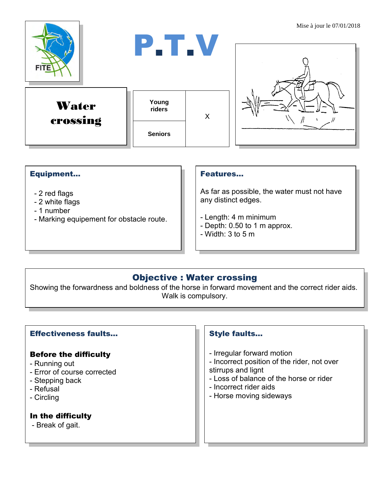

## Equipment...

- 2 red flags
- 2 white flags
- 1 number
- Marking equipement for obstacle route.

#### Features…

As far as possible, the water must not have any distinct edges.

- Length: 4 m minimum
- Depth: 0.50 to 1 m approx.
- Width: 3 to 5 m

# Objective : Water crossing

Showing the forwardness and boldness of the horse in forward movement and the correct rider aids. Walk is compulsory.

# Effectiveness faults…

## Before the difficulty

- Running out
- Error of course corrected
- Stepping back
- Refusal
- Circling

## In the difficulty

- Break of gait.

# Style faults…

- Irregular forward motion
- Incorrect position of the rider, not over
- stirrups and lignt
- Loss of balance of the horse or rider
- Incorrect rider aids
- Horse moving sideways